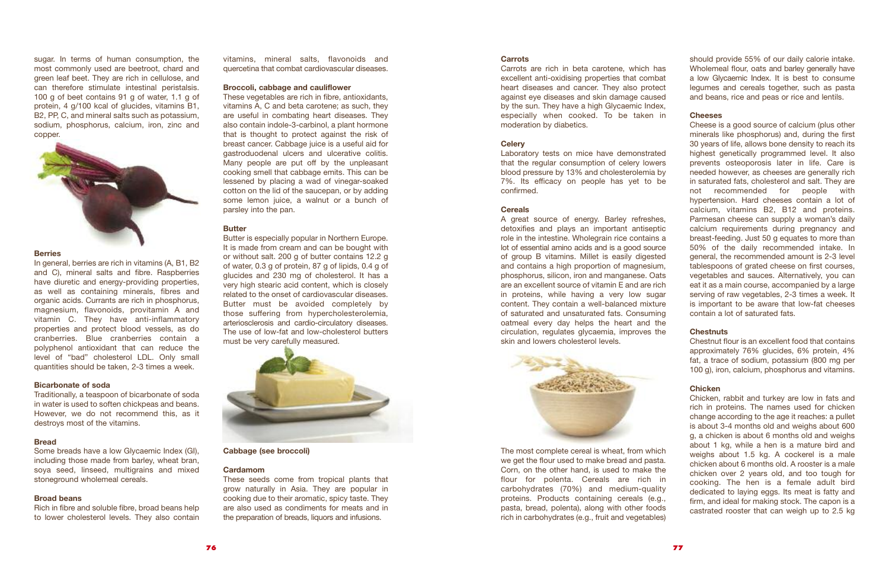vitamins, mineral salts, flavonoids and quercetina that combat cardiovascular diseases.

# **Broccoli, cabbage and cauliflower**

These vegetables are rich in fibre, antioxidants, vitamins A, C and beta carotene; as such, they are useful in combating heart diseases. They also contain indole-3-carbinol, a plant hormone that is thought to protect against the risk of breast cancer. Cabbage juice is a useful aid for gastroduodenal ulcers and ulcerative colitis. Many people are put off by the unpleasant cooking smell that cabbage emits. This can be lessened by placing a wad of vinegar-soaked cotton on the lid of the saucepan, or by adding some lemon juice, a walnut or a bunch of parsley into the pan.

# **Butter**

Butter is especially popular in Northern Europe. It is made from cream and can be bought with or without salt. 200 g of butter contains 12.2 g of water, 0.3 g of protein, 87 g of lipids, 0.4 g of glucides and 230 mg of cholesterol. It has a very high stearic acid content, which is closely related to the onset of cardiovascular diseases. Butter must be avoided completely by those suffering from hypercholesterolemia, arteriosclerosis and cardio-circulatory diseases. The use of low-fat and low-cholesterol butters must be very carefully measured.



#### **Cabbage (see broccoli)**

#### **Cardamom**

These seeds come from tropical plants that grow naturally in Asia. They are popular in cooking due to their aromatic, spicy taste. They are also used as condiments for meats and in the preparation of breads, liquors and infusions.

#### **Carrots**

Carrots are rich in beta carotene, which has excellent anti-oxidising properties that combat heart diseases and cancer. They also protect against eye diseases and skin damage caused by the sun. They have a high Glycaemic Index. especially when cooked. To be taken in moderation by diabetics.

#### **Celery**

Laboratory tests on mice have demonstrated that the regular consumption of celery lowers blood pressure by 13% and cholesterolemia by 7%. Its efficacy on people has yet to be confirmed.

#### **Cereals**

A great source of energy. Barley refreshes, detoxifies and plays an important antiseptic role in the intestine. Wholegrain rice contains a lot of essential amino acids and is a good source of group B vitamins. Millet is easily digested and contains a high proportion of magnesium, phosphorus, silicon, iron and manganese. Oats are an excellent source of vitamin E and are rich in proteins, while having a very low sugar content. They contain a well-balanced mixture of saturated and unsaturated fats. Consuming oatmeal every day helps the heart and the circulation, regulates glycaemia, improves the skin and lowers cholesterol levels.



The most complete cereal is wheat, from which we get the flour used to make bread and pasta. Corn, on the other hand, is used to make the flour for polenta. Cereals are rich in carbohydrates (70%) and medium-quality proteins. Products containing cereals (e.g., pasta, bread, polenta), along with other foods rich in carbohydrates (e.g., fruit and vegetables)

In general, berries are rich in vitamins (A, B1, B2) and C), mineral salts and fibre. Raspberries have diuretic and energy-providing properties, as well as containing minerals, fibres and organic acids. Currants are rich in phosphorus, magnesium, flavonoids, provitamin A and vitamin C. They have anti-inflammatory properties and protect blood vessels, as do cranberries. Blue cranberries contain a polyphenol antioxidant that can reduce the level of "bad" cholesterol LDL. Only small quantities should be taken, 2-3 times a week.

should provide 55% of our daily calorie intake. Wholemeal flour, oats and barley generally have a low Glycaemic Index. It is best to consume legumes and cereals together, such as pasta and beans, rice and peas or rice and lentils.

# **Cheeses**

Cheese is a good source of calcium (plus other minerals like phosphorus) and, during the first 30 years of life, allows bone density to reach its highest genetically programmed level. It also prevents osteoporosis later in life. Care is needed however, as cheeses are generally rich in saturated fats, cholesterol and salt. They are not recommended for people with hypertension. Hard cheeses contain a lot of calcium, vitamins B2, B12 and proteins. Parmesan cheese can supply a woman's daily calcium requirements during pregnancy and breast-feeding. Just 50 g equates to more than 50% of the daily recommended intake. In general, the recommended amount is 2-3 level tablespoons of grated cheese on first courses, vegetables and sauces. Alternatively, you can eat it as a main course, accompanied by a large serving of raw vegetables, 2-3 times a week. It is important to be aware that low-fat cheeses contain a lot of saturated fats.

# **Chestnuts**

Chestnut flour is an excellent food that contains approximately 76% glucides, 6% protein, 4% fat, a trace of sodium, potassium (800 mg per 100 g), iron, calcium, phosphorus and vitamins.

# **Chicken**

Chicken, rabbit and turkey are low in fats and rich in proteins. The names used for chicken change according to the age it reaches: a pullet is about 3-4 months old and weighs about 600 g, a chicken is about 6 months old and weighs about 1 kg, while a hen is a mature bird and weighs about 1.5 kg. A cockerel is a male chicken about 6 months old. A rooster is a male chicken over 2 years old, and too tough for cooking. The hen is a female adult bird dedicated to laying eggs. Its meat is fatty and firm, and ideal for making stock. The capon is a castrated rooster that can weigh up to 2.5 kg

sugar. In terms of human consumption, the most commonly used are beetroot, chard and green leaf beet. They are rich in cellulose, and can therefore stimulate intestinal peristalsis. 100 g of beet contains 91 g of water, 1.1 g of protein, 4 g/100 kcal of glucides, vitamins B1, B2, PP, C, and mineral salts such as potassium, sodium, phosphorus, calcium, iron, zinc and copper.



#### **Berries**

#### **Bicarbonate of soda**

Traditionally, a teaspoon of bicarbonate of soda in water is used to soften chickpeas and beans. However, we do not recommend this, as it destroys most of the vitamins.

# **Bread**

Some breads have a low Glycaemic Index (GI), including those made from barley, wheat bran, soya seed, linseed, multigrains and mixed stoneground wholemeal cereals.

# **Broad beans**

Rich in fibre and soluble fibre, broad beans help to lower cholesterol levels. They also contain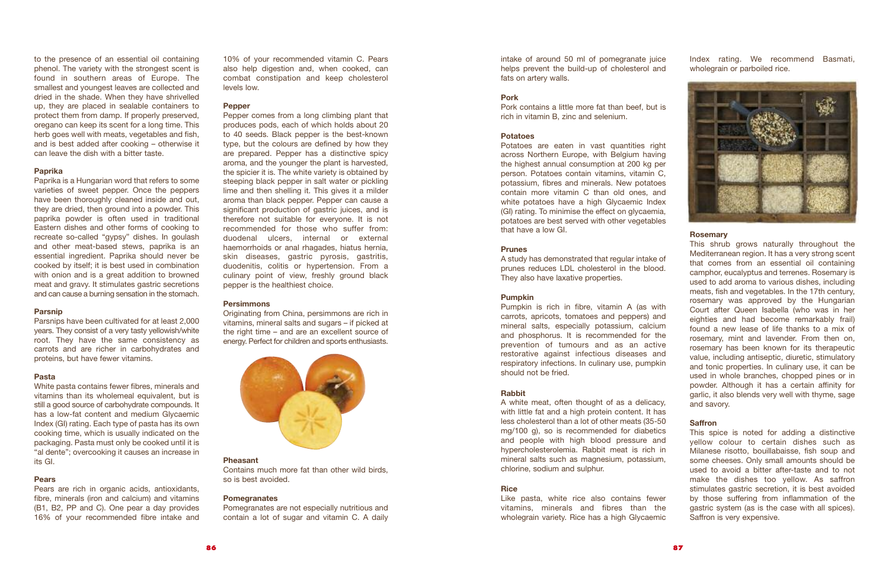10% of your recommended vitamin C. Pears also help digestion and, when cooked, can combat constipation and keep cholesterol levels low.

#### **Pepper**

Pepper comes from a long climbing plant that produces pods, each of which holds about 20 to 40 seeds. Black pepper is the best-known type, but the colours are defined by how they are prepared. Pepper has a distinctive spicy aroma, and the younger the plant is harvested, the spicier it is. The white variety is obtained by steeping black pepper in salt water or pickling lime and then shelling it. This gives it a milder aroma than black pepper. Pepper can cause a significant production of gastric juices, and is therefore not suitable for everyone. It is not recommended for those who suffer from: duodenal ulcers, internal or external haemorrhoids or anal rhagades, hiatus hernia, skin diseases, gastric pyrosis, gastritis, duodenitis, colitis or hypertension. From a culinary point of view, freshly ground black pepper is the healthiest choice.

# **Persimmons**

Originating from China, persimmons are rich in vitamins, mineral salts and sugars – if picked at the right time – and are an excellent source of energy. Perfect for children and sports enthusiasts.



#### **Pheasant**

Contains much more fat than other wild birds, so is best avoided.

# **Pomegranates**

Pomegranates are not especially nutritious and contain a lot of sugar and vitamin C. A daily

intake of around 50 ml of pomegranate juice helps prevent the build-up of cholesterol and fats on artery walls.

### **Pork**

Pork contains a little more fat than beef, but is rich in vitamin B, zinc and selenium.

# **Potatoes**

Potatoes are eaten in vast quantities right across Northern Europe, with Belgium having the highest annual consumption at 200 kg per person. Potatoes contain vitamins, vitamin C, potassium, fibres and minerals. New potatoes contain more vitamin C than old ones, and white potatoes have a high Glycaemic Index (GI) rating. To minimise the effect on glycaemia, potatoes are best served with other vegetables that have a low GI.

#### **Prunes**

A study has demonstrated that regular intake of prunes reduces LDL cholesterol in the blood. They also have laxative properties.

#### **Pumpkin**

Pumpkin is rich in fibre, vitamin A (as with carrots, apricots, tomatoes and peppers) and mineral salts, especially potassium, calcium and phosphorus. It is recommended for the prevention of tumours and as an active restorative against infectious diseases and respiratory infections. In culinary use, pumpkin should not be fried.

#### **Rabbit**

A white meat, often thought of as a delicacy, with little fat and a high protein content. It has less cholesterol than a lot of other meats (35-50 mg/100 g), so is recommended for diabetics and people with high blood pressure and hypercholesterolemia. Rabbit meat is rich in mineral salts such as magnesium, potassium, chlorine, sodium and sulphur.

#### **Rice**

Like pasta, white rice also contains fewer vitamins, minerals and fibres than the wholegrain variety. Rice has a high Glycaemic

Index rating. We recommend Basmati, wholegrain or parboiled rice.



#### **Rosemary**



This shrub grows naturally throughout the Mediterranean region. It has a very strong scent that comes from an essential oil containing camphor, eucalyptus and terrenes. Rosemary is used to add aroma to various dishes, including meats, fish and vegetables. In the 17th century, rosemary was approved by the Hungarian Court after Queen Isabella (who was in her eighties and had become remarkably frail) found a new lease of life thanks to a mix of rosemary, mint and lavender. From then on, rosemary has been known for its therapeutic value, including antiseptic, diuretic, stimulatory and tonic properties. In culinary use, it can be used in whole branches, chopped pines or in powder. Although it has a certain affinity for garlic, it also blends very well with thyme, sage and savory.

**Saffron**

This spice is noted for adding a distinctive yellow colour to certain dishes such as Milanese risotto, bouillabaisse, fish soup and some cheeses. Only small amounts should be used to avoid a bitter after-taste and to not make the dishes too yellow. As saffron stimulates gastric secretion, it is best avoided by those suffering from inflammation of the gastric system (as is the case with all spices). Saffron is very expensive.

to the presence of an essential oil containing phenol. The variety with the strongest scent is found in southern areas of Europe. The smallest and youngest leaves are collected and dried in the shade. When they have shrivelled up, they are placed in sealable containers to protect them from damp. If properly preserved, oregano can keep its scent for a long time. This herb goes well with meats, vegetables and fish, and is best added after cooking – otherwise it can leave the dish with a bitter taste.

# **Paprika**

Paprika is a Hungarian word that refers to some varieties of sweet pepper. Once the peppers have been thoroughly cleaned inside and out, they are dried, then ground into a powder. This paprika powder is often used in traditional Eastern dishes and other forms of cooking to recreate so-called "gypsy" dishes. In goulash and other meat-based stews, paprika is an essential ingredient. Paprika should never be cooked by itself; it is best used in combination with onion and is a great addition to browned meat and gravy. It stimulates gastric secretions and can cause a burning sensation in the stomach.

# **Parsnip**

Parsnips have been cultivated for at least 2,000 years. They consist of a very tasty yellowish/white root. They have the same consistency as carrots and are richer in carbohydrates and proteins, but have fewer vitamins.

# **Pasta**

White pasta contains fewer fibres, minerals and vitamins than its wholemeal equivalent, but is still a good source of carbohydrate compounds. It has a low-fat content and medium Glycaemic Index (GI) rating. Each type of pasta has its own cooking time, which is usually indicated on the packaging. Pasta must only be cooked until it is "al dente"; overcooking it causes an increase in its GI.

# **Pears**

Pears are rich in organic acids, antioxidants, fibre, minerals (iron and calcium) and vitamins (B1, B2, PP and C). One pear a day provides 16% of your recommended fibre intake and